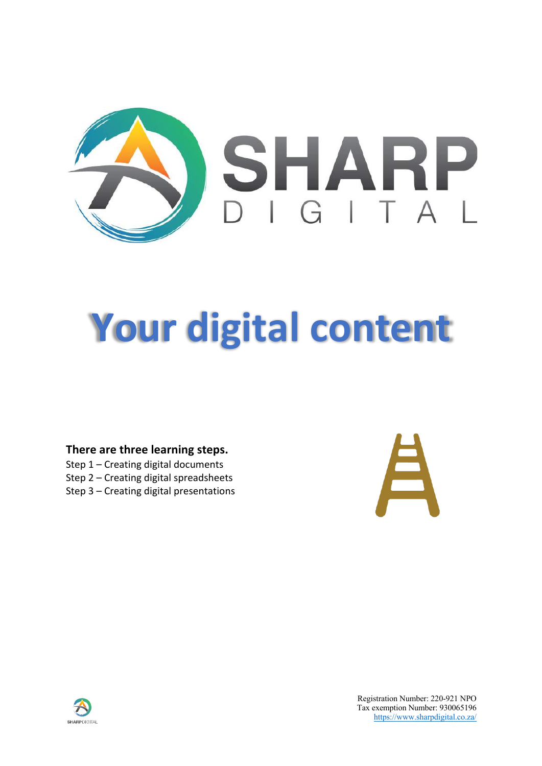

# **Your digital content**

### **There are three learning steps.**

- Step 1 Creating digital documents
- Step 2 Creating digital spreadsheets
- Step 3 Creating digital presentations



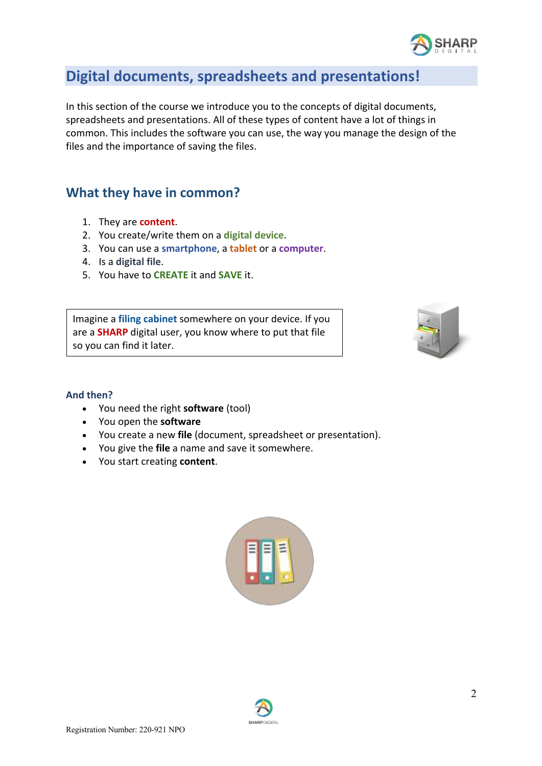

# **Digital documents, spreadsheets and presentations!**

In this section of the course we introduce you to the concepts of digital documents, spreadsheets and presentations. All of these types of content have a lot of things in common. This includes the software you can use, the way you manage the design of the files and the importance of saving the files.

# **What they have in common?**

- 1. They are **content**.
- 2. You create/write them on a **digital device**.
- 3. You can use a **smartphone**, a **tablet** or a **computer**.
- 4. Is a **digital file**.
- 5. You have to **CREATE** it and **SAVE** it.

Imagine a **filing cabinet** somewhere on your device. If you are a **SHARP** digital user, you know where to put that file so you can find it later.



#### **And then?**

- You need the right **software** (tool)
- You open the **software**
- You create a new **file** (document, spreadsheet or presentation).
- You give the **file** a name and save it somewhere.
- You start creating **content**.



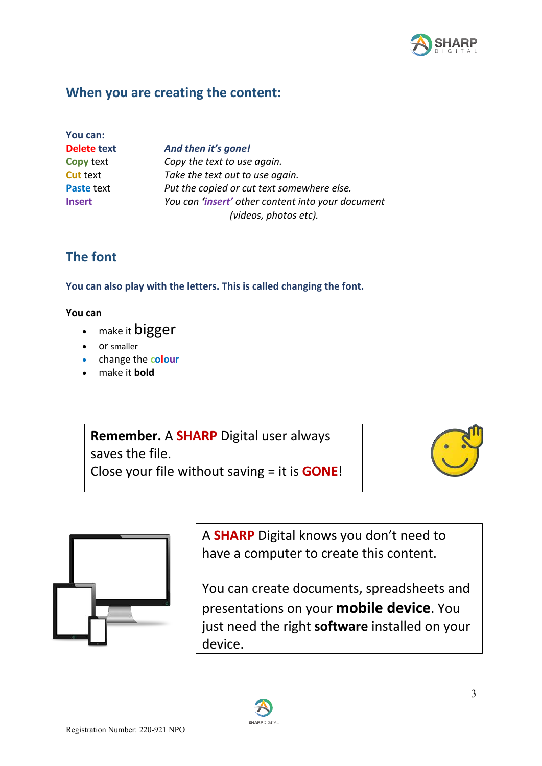

# **When you are creating the content:**

| You can:          |
|-------------------|
| Delete text       |
| <b>Copy text</b>  |
| <b>Cut text</b>   |
| <b>Paste text</b> |
| <b>Insert</b>     |

And then it's gone! Copy the text to use again. Take the text out to use again. Put the copied or cut text somewhere else. **Insert** *You can 'insert' other content into your document (videos, photos etc).*

# **The font**

**You can also play with the letters. This is called changing the font.** 

### **You can**

- make it **bigger**
- or smaller
- change the **colour**
- make it **bold**

**Remember.** A **SHARP** Digital user always saves the file. Close your file without saving = it is **GONE**!





A **SHARP** Digital knows you don't need to have a computer to create this content.

You can create documents, spreadsheets and presentations on your **mobile device**. You just need the right **software** installed on your device.

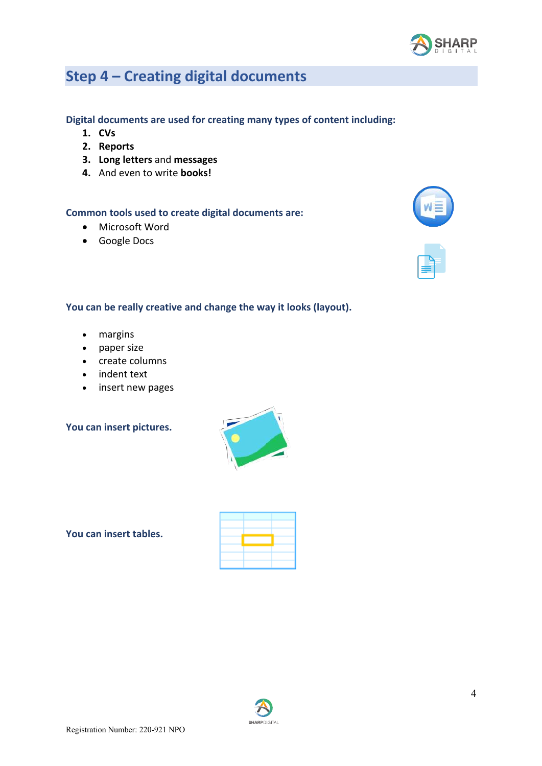

# **Step 4 – Creating digital documents**

#### **Digital documents are used for creating many types of content including:**

- **1. CVs**
- **2. Reports**
- **3. Long letters** and **messages**
- **4.** And even to write **books!**

#### **Common tools used to create digital documents are:**

- Microsoft Word
- Google Docs



#### **You can be really creative and change the way it looks (layout).**

- margins
- paper size
- create columns
- indent text
- insert new pages

#### **You can insert pictures.**



**You can insert tables.** 

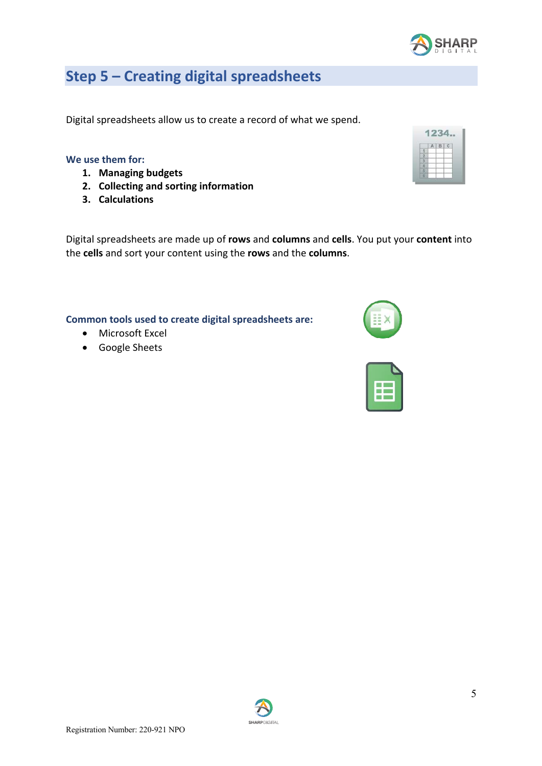5

# **Step 5 – Creating digital spreadsheets**

Digital spreadsheets allow us to create a record of what we spend.

#### **We use them for:**

- **1. Managing budgets**
- **2. Collecting and sorting information**
- **3. Calculations**

Digital spreadsheets are made up of **rows** and **columns** and **cells**. You put your **content** into the **cells** and sort your content using the **rows** and the **columns**.

**SHARPDIGITA** 

#### **Common tools used to create digital spreadsheets are:**

- Microsoft Excel
- Google Sheets